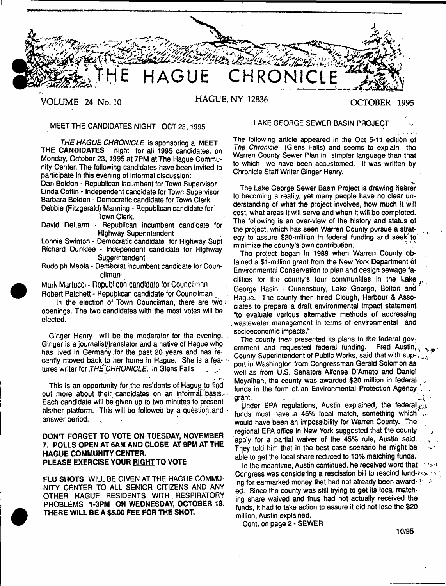

MEET THE CANDIDATES NIGHT - OCT 23.1995

**THE HAGUE CHRONICLE** is sponsoring a MEET<br>**THE CANDIDATES** night for all 1995 candidates, o night for all 1995 candidates, on Monday, October 23,1995 at 7PM at The Hague Community Center. The following candidates have been invited to participate In this evening of informal discussion: Dan Belden - Republican incumbent for Town Supervisor

Linda Coffin - Independent candidate for Town Supervisor Barbara Belden - Democratic candidate for Town Cierk

Debbie (Fitzgerald) Manning - Republican candidate for' Town Clerk.

David DeLarm - Republican incumbent candidate for Highway Superintendent

Lonnie Swinton - Democratic candidate for Highway Supt Richard Dunklee - Independent candidate for Highway **Superintendent** 

Rudolph Meola - Democrat incumbent candidate for Councilman'

Murk **Murtuccl - republican candidate** (or Councilman Robert Patchett - Republican candidate for Councilman ^

In the election of Town Councilman, there are two openings. The two candidates with the most votes will be elected.

Ginger Henry will be the. moderator for the evening. Ginger is a journalist/translator and a native of Hague who has lived in Germany .for the past 20 years and has recently moved back to her home in Hague. She is a features writer for *THE CHRONICLE*, in Glens Falls.

, \*\* \* This is an opportunity for the residents of Hague to find out more about their candidates on an informal basis. Each candidate will be given up to two minutes to present his/her platform. This will be followed by a question.and answer period.

## DONT FORGET TO VOTE ON TUESDAY, NOVEMBER 7. POLLS OPEN AT 6AM AND CLOSE AT 9PM AT THE HAGUE COMMUNITY CENTER. PLEASE EXERCISE YOUR RIGHT TO VOTE

FLU SHOTS WILL BE GIVEN AT THE HAGUE COMMU-NITY CENTER TO ALL SENIOR CITIZENS AND ANY OTHER HAGUE RESIDENTS WITH RESPIRATORY PROBLEMS 1-3PM ON WEDNESDAY, OCTOBER 18. THERE WILL BE A \$5.00 FEE FOR THE SHOT.

#### LAKE GEORGE SEWER BASIN PROJECT

The following article appeared in the Oct 5-11 edition of *The Chronicle* (Glens Falls) and seems to explain the Warren County Sewer Plan in simpler language than that to which we have been accustomed. It was written by Chronicle Staff Writer Ginger Henry.

The Lake George Sewer Basin Project is drawing hearer to becoming a reality, yet many people have no clear understanding of what the project involves, how much it will cost, what areas it will serve and when it will be completed. The following is an over-view of the history and status of the project, which has seen Warren County pursue a strategy to assure \$20-million in federal funding and seek'to minimize the county's own contribution.

The project began in 1989 when Warren County obtained a \$1-million grant from the New York Department 6f Environmental Conservation to plan and design sewage facllilios for the county's four communities in the Lake  $_{\text{dec}}$ George Basin - Queensbury, Lake George, Bolton and Hague. The county then hired Clough, Harbour & Associates to prepare a draft environmental impact statement "to evaluate various alternative methods of addressing .wastewater management In terms of environmental and socioeconomic impacts."

The county then presented its plans to the federal government and requested federal funding. Fred Austin,  $\frac{1}{2}$ County Superintendent of Public Works, said that with sup- $\frac{1}{2}$ port in Washington from Congressman Gerald Solomon as well as from U.S. Senators Alfonse D'Amato and Daniel Moynihan, the county was awarded \$20 million in federal funds in the form of an Environmental Protection Agency grant.

Under EPA regulations, Austin explained, the federal  $_{3/2}$ funds must have a 45% local match, something which' would have been an impossibility for Warren County. The regional EPA office in New York suggested that the county apply for a partial waiver of the 45% rule, Austin said. They told him that in the best case scenario he might be able to get the local share reduced to 10% matching funds.

In the meantime, Austin continued, he received word that a town Congress was considering a rescission bill to rescind fund-tase is a ing for earmarked money that had not already been award-  $\mathbb{R}^3$ ed. Since the county was still trying to get its local matching share waived and thus had not actually received the funds, it had to take action to assure it did not lose the \$20 miiiion, Austin explained.

Cont. on page 2 - SEWER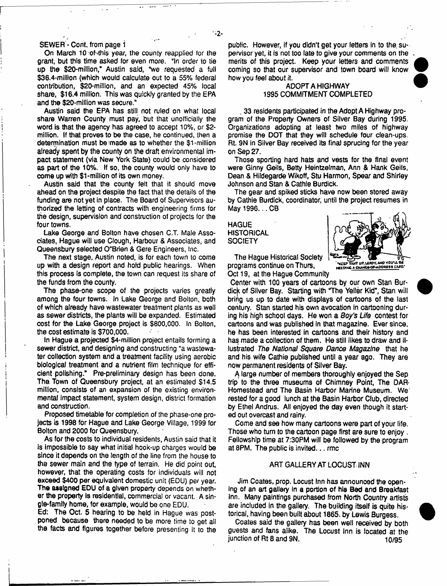#### SEWER - Cont. from page 1

On March 10 of this year, the county reapplied for the grant, but this time asked for even more. "In order to tie up the \$20-miilion," Austin said, "we requested a full \$36.4-million (which would calculate out to a 55% federal contribution, \$20-million, and an expected 45% local share, \$16.4 million. This was quickly granted by the EPA and the \$20-million was secure."

Austin said the EPA has still not ruled on what local share Warren County must pay, but that unofficially the word is that the agency has agreed to accept 10%, or \$2 million. If that proves to be the case, he continued, then a determination must be-made as to whether the \$1-million already spent by the county on the draft environmental impact statement (via New York State) could be considered as part of the 10%. If so, the county would only have to come up with \$1-million of its own money.

Austin said that the county felt that it should move ahead on the project despite the fact that the details of the funding are not yet in place. The Board of Supervisors authorized the letting of contracts with engineering firms for the design, supervision and construction of projects for the four towns.

Lake George and Bolton have chosen C.T. Male Associates, Hague will use Clough, Harbour & Associates, and Queensbury selected O"Brien & Gere Engineers, Inc.

The next stage, Austin noted, is for each town to come up with a design report and hold public hearings. When this process is complete, the town can request its share of the funds from the county.

The phase-one scope of the projects varies greatly among the four towns. In Lake George and Bolton, both of which already have wastewater treatment plants as well as sewer districts, the plants will be expanded. Estimated cost for the Lake George project is \$800,000. In Bolton, the cost estimate is \$700,000.

In Hague a projected \$4-million project entails forming a sewer district, and designing and constructing "a wastewater collection system and a treatment facility using aerobic biological treatment and a nutrient film technique for efficient polishing." Pre-preliminary design has been done. The Town of Queensbury project, at an estimated \$14.5 million, consists of an expansion of the existing environmental impact statement, system design, district formation and construction.

Proposed timetable for completion of the phase-one projects is 1998 for Hague and Lake George Village, 1999 for Bolton and 2000 for Queensbury.

As for the costs to individual residents, Austin said that it is impossible to say what initial hook-up charges would be since it depends on the length of the line from the house to the sewer main and the type of terrain. He did point out, however, that the operating costs for individuals will not exceed \$400 per equivalent domestic unit (EDU) per year. The assigned EDU of a given property depends on whether the property is residential, commercial or vacant. A single-family home, for example, would be one EDU.

Ed: The Oct. 5 hearing to be held in Hague was postponed because there needed to be more time to get all the facts and figures together before presenting it to the public. However, if you didn't get your letters in to the. supervisor yet, it is not too late to give your comments on the merits of this project. Keep your letters and comments coming so that our supervisor and town board will know how you feel about it.

## ADOPT A HIGHWAY 1995 COMMITMENT COMPLETED

. 33 residents participated in the Adopt A Highway program of the Property Owners of Silver Bay during 1995. Organizations adopting at least two mites of highway promise the DOT that they will schedule four clean-ups. Rt. 9N in Silver Bay received Its final sprucing for the year on Sep 27.

Those sporting hard hats and vests for the final event were Ginny Geils, Betty Heintzelman, Ann & Hank Geils, Dean & Hildegarde Wikoff, Stu Harmon, Spear and Shirley Johnson and Stan & Cathie Burdick.

The gear and spiked sticks have now been stored away by Cathie Burdick, coordinator, until the project resumes in May 1996... CB

**HAGUE HISTORICAL SOCIETY** 



The Hague Historical Society programs continue on Thurs, Oct 19, at the Hague Community

Center with 100 years of cartoons by our own Stan Burdick of Silver Bay. Starting with "The Yeller Kid", Stan will bring us up to date with displays of cartoons of the last century. Stan started his own avocation in cartooning during his high school days. He won a *Boy's Life* contest for cartoons and was published in that magazine. Ever since, he has been interested in cartoons and their history and has made a collection of them. He still likes to draw and illustrated *The National Square Dance Magazine* that he and his wife Cathie published until a year ago. They are now permanent residents of Silver Bay.

A large number of members thoroughly enjoyed the Sep trip' to the three museums of Chimney Point, The DAR\* Homestead and The Basin Harbor Marine Museum. We rested for a good lunch at the Basin Harbor Club, directed by Ethel Andrus. All enjoyed the day even though it started out overcast and rainy.

Come and see how many cartoons were part of your life. Those who turn to the cartoon page first are sure to enjoy . Fellowship time at 7:30PM will be followed by the program at 8PM. The public is invited... rmc

#### ART GALLERY AT LOCUST. INN

Jim Coates, prop. Locust Inn has announced the opening of an art gallery in a portion of hia Bed and Breakfast Inn. Many paintings purchased from North Country artists are included in the gallery. The building itself is quite historical, having been built about 1865. by Lewis Burgess.

Coates said the gallery has been well received by both guests and fans alike. The Locust Inn is located at the junction of Rt 8 and 9N. 10/95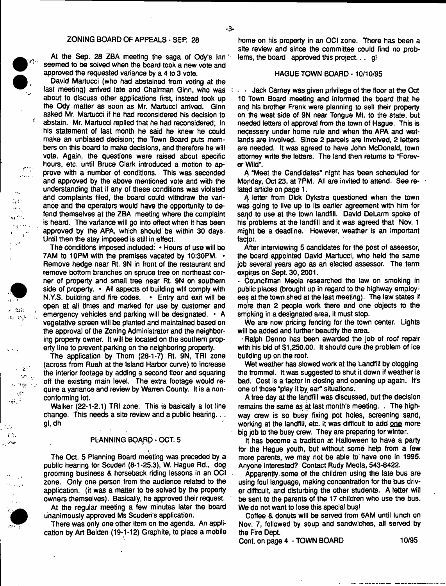#### ZONING BOARD OF APPEALS - SEP. 28

At the Sep. 28 ZBA meeting the saga of Ody's Inn' seemed to be solved when the board took a new vote and approved the requested variance by a 4 to 3 vote.

 $\alpha$  ,  $\alpha$ 

Y

ert.  $\mathcal{L}(\mathcal{L},\mathcal{L})$  .

 $\mathcal{A}_{\mathcal{A},\mathcal{A}}$  $\sim 10^{-1}$  $\mathcal{L}(\cdot)$  $\omega$  est 9415  $\mathfrak{t}=\mathfrak{g}$  $\frac{1}{2}$  ,  $\frac{1}{2}$ 

人名尔  $T_{\rm c} = 7.5$ 

 $\alpha$  ,  $\alpha$  ,  $\alpha$ 

 $\epsilon = 2$  .  $\sim$  $\Lambda$  $\sim 100$  $\sim$  1.

 $\sim 5\%$  $\sim$   $\pm$   $\sim$ 

فالرسام

ji de  $\mathcal{A}=\mathcal{A}$  $_{\rm s}$  ,  $\sim$ 

David Martucci (who had abstained from voting at the fast meeting) arrived late and Chairman Ginn, who was interesting about to discuss other applications first, instead took up the Ody matter as soon as Mr. Martucci arrived. Ginn asked Mr. Martucci if he had reconsidered his decision to abstain. Mr. Martucci replied that he had reconsidered; in his statement of last month he said he knew he could make an unbiased decision; the Town Board puts members on this board to make decisions, and therefore he will vote. Again, the questions were raised about specific hours, etc. until Bruce Clark introduced a motion to approve with a number of conditions. This was seconded and approved by the above mentioned vote and with the understanding that if any of these conditions was violated and complaints filed, the board could withdraw the variance and the operators would have the opportunity to defend themselves at the ZBA meeting where the complaint is heard. The variance will go into effect when it has been approved by the APA, which should be within 30 days. Until then the stay imposed is stiii in effect.

The conditions imposed Included: • Hours of use will be 7AM to 10PM with the premises vacated by 10:30PM. • Remove hedge near Rt. 9N in front of the restaurant and remove bottom branches on spruce tree on northeast corner of property and small tree near Rt, 9N on southern side of property. • Ail aspects of building will comply with N.Y.S. building and fire codes. • Entry and exit will be open at all times and marked for use by customer and emergency vehicles and parking will be designated. \* A vegetative screen will be planted and maintained based on the approval of the Zoning Administrator and the neighboring property owner. It will be located on the southern property line to prevent parking on the neighboring property.

The application by Thom (28-1-7) Rt. 9N, TRI zone (across from Ruah at the Island Harbor curve) to increase the interior footage by adding a second floor and squaring off the existing main level. The extra footage would require a variance and review by Warren County. It is a nonconforming lot.

Walker (22-1-2.1) TRI zone. This is basically a lot line change. This needs a site review and a public hearing... gl.dh

#### PLANNING BOARD - OCT. 5

i

The Oct. 5 Planning Board meeting was preceded by a public hearing for Scuderl (8-1-25.3), W. Hague Rd., dog grooming business & horseback riding lessons in an OCI zone. Only one person from the audience related to the application, (it was a matter to be solved by the property owners themselves). Basically, he approved their request.

At the regular meeting a few minutes later the board unanimously approved Ms Scuderi's application.

There was only one other item on the agenda. An application by Art Belden (19-1-12) Graphite, to place a mobile home on his property in an OCI zone. There has been a site review and since the committee could find no problems, the board approved this project... g!

#### HAGUE TOWN BOARD -10/10/95

? Jack Carney was given privilege of the floor at the Oct 10 Town Board meeting and informed the board that he and his brother Frank were planning to sell their property on the west side of 9N near Tongue Mt. to the state, but needed letters of approval from the town of Hague. This is neqessary under home rule and when the APA and wetlands are involved. Since 2 parcels are involved, 2 letters are needed. It was agreed to have John McDonald, town attorney write the letters. The land then returns to "Forever VVifd".

A "Meet the Candidates" night has been scheduled for Monday, Oct 23, at 7PM. All are invited to attend. See related article on page 1.

A letter from Dick Dykstra questioned when the town was going to live up to its earlier agreement with him for sand to use at the town landfill. David DeLarm spoke of his problems at the landfill and it was agreed that Nov. 1 might be a deadline. However, weather is an important factor.

After interviewing 5 candidates for the post of assessor, the board appointed David Martucci, who held the same job several years ago as an elected assessor. The term expires on Sept. 30,2001.

■ Councilman Meola researched the law on smoking in public places (brought up in regard to the highway employees at the town shed at the last meeting). The law states if more than 2 people work there and one objects to the smpking in a designated area, it must stop.

We are now pricing fencing for the town center. Lights will be added and further beautify the area.

Ralph Denno has been awarded the job of roof repair with his bid of \$1,250.00. It should cure the problem of ice building up on the roof.

Wet weather has slowed work at the Landfill by clogging the trommel. It was suggested to shut it down if weather is bad. Cost is a factor in closing and opening up again. It's one of those "play it by ear" situations.

A free day at the landfill was discussed, but the decision remains the same as at last month's meeting. . The highway crew is so busy fixing pot holes, screening sand, working at the landfill, etc. it was difficult to add one more big job to the busy crew. They are preparing for winter.

It has become a tradition at Halloween to have a party for the Hague youth, but without some help from a few more parents, we may not be able to'have one in 1995. Anyone interested? Contact Rudy Meola, 543-8422.

Apparently, some of the children using the late bus are using foul language, making concentration for the bus driver difficult, and disturbing the other students. A letter will be sent to the parents of the 17 children who use the bus. We do not want to lose this special bus!

Coffee & donuts will be served from 6AM until lunch on Nov. 7, followed by soup and sandwiches, all served by the Fire Dept.

Cont. on page 4 - TOWN BOARD 10/95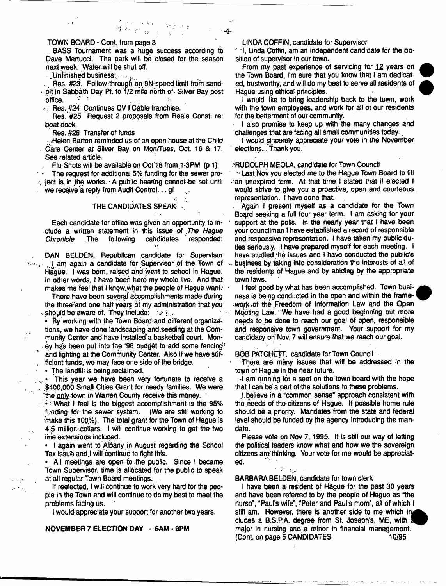BASS Tournament was a huge success according to pave Martucci. The park will be closed for the season next week. Water-will be shut off.

地名河口

 $\Box$ Unfinished business: $\ldots$ 

Res. #23. Follow through on 9N speed limit from sandpit jn Sabbath Day Pt. to 1/2 mile north of - Silver Bay post .office. .

. ; Res, #24 Continues CV TCable franchise.

Res. #25 Request 2 proposals from Reale Const, re: boat dock.

Res. #26 Transfer of funds

. Helen Barton reminded us of an open house at the Child Care Center at Silver Bay on Mon/Tues, Oct 16 & 17. See related article.

, Flu Shots will be available on Oct 18 from 1 -3PM (p 1)

The request for additional 5% funding for the sewer pro- $\gamma$  ject is in the works. A public hearing cannot-be set until we receive a reply from Audit Control...gl  $\bar{\mathcal{C}}$ 

## THE CANDIDATES SPEAK

 $\mathcal{L}_{\mathcal{A}}$ 

Each candidate for offioe was given an opportunity to include a written statement in this issue of .The *Hague* candidates .

DAN BELDEN, Republican candidate for Supervisor sate of the Town of Hague.' I was born, raised and went to school in Hague. In other words, I have been here my whole live. And that makes me feel that I know what the people of Hague want:

There have been seyeraf accomplishments made during the three'-'and one half years Of my administration that *you*  $\sqrt{\frac{1}{2}}$  should be aware of. They include:  $\frac{1}{2}$  is a

• By working with the Town Board and different organizations, we have done landscaping and seeding at the Community Center and have installed'a basketball court. Money has been put into the '96 budget to add some fencing' and lighting at the Community Center. Also if we have suf-. ficient funds, we may face one side of the bridge.

• The landfill is being.redaimed.

 $\cdot$  :

 $\mathcal{A}_\bullet$ 

 $\sim 100$ 

This year we have been very fortunate to receive a . ,\$400,000 Small Cities Grant for needy families. We were the only town in Warren County receive this money.

What I feel is the biggest accomplishment is the 95% funding for the sewer system. (We are still working to -make this 100%). The total grant for the Town of Hague is 4.5 million-collars. I will continue working to get the two line extensions included.

• I'again went to Albany in August regarding the School Tax issue and I will continue to fight this.

» All meetings are open to the public. Since ( became Town Supervisor, time is allocated for the public to speak at all regular Town Board meetings.

If reelected, I will continue to work very hard for the people in the Town and will continue to do my best to meet the problems fadng us.

I would appreciate your support for another two years.

**NOVEMBER 7 ELECTION DAY - 6AM- 9PM**

LINDA COFFIN, candidate for Supervisor

-4-

" I, Linda Coffin, am an independent candidate for the position of supervisor in our town.

From my past experience of servicing for 12 years on the Town Board, I'm sure that you know that I am dedicated, trustworthy, and will do my best to serve all residents of Hague using ethical principles.

I would like to bring leadership back to the town, work with the town employees, and work for all of our residents for the betterment of our community.

I also promise to keep up with the many changes and challenges that are facing all small communities today..

I would sincerely appreciate your vote in the November elections,.. Thank you.

#### ^RUDOLPH MEOLA, candidate for Town Council

' Last Nov you elected me to the Hague Town Board to fill an unexpired term. At that time I stated that if elected I would strive to give you a proactive, open and courteous representation. I have done that.

Again I present myself as a candidate for the Town Board seeking a full four year term. I am asking for your support at the polls. In the nearly year that I have been your coundlman I have established a record of responsible and responsive representation. I have taken my public dutles seriously. I have prepared myself for each meeting. I have studied the issues and I have conducted the public's business by taking into consideration the interests of all of the residents of Hague and by abiding by the appropriate town laws.

I feet good by what has been accomplished. Town business is being conducted in the open and within the framework of the Freedom of Information Law and the Open Meeting Law. We have had a good beginning but more needs to be done to reach our goal of open, responsible and responsive town government. Your support for my candidacy on' Nov. 7 will ensure that we reach our goal.

BOB PATCHETT, candidate for Town Council

There are many issues that will be addressed in the town of Hague in the near future.

 $\mathbb{R}$  am running for a seat on the town board with the hope that I can be a part of .the solutions to these problems.

. L believe in a "common sense" approach consistent with the needs of the citizens of Hague. If possible home rule should be a priority. Mandates from the state and federal level should be funded by the agency introducing the mandate.

Please vote on Nov 7, 1995. It is still our way of letting the political leaders know what and how we the sovereign citizens arethlnking. Your vote *for* me would be appreciated.

BARBARA BELDEN, candidate for town clerk

 $\mathcal{L}(\mathcal{L}_{\mathcal{A}})$ 

I have been a resident of Hague for the past 30 yeans and have been referred to by the people of Hague as 'the nurse", "Paul's wife", "Peter and Paul's mom", all of which I still am. However, there is another side to me which in cludes a B.S.P.A. degree from St. Joseph's, ME, with major in nursing and .a minor in financial management. (Cont. on page 5 CANDIDATES 10/95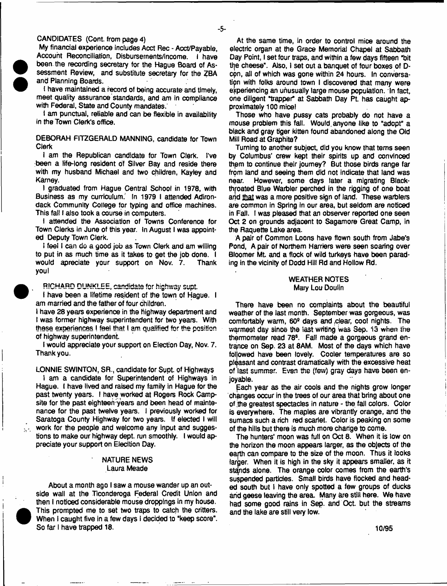## CANDIDATES (Cont. from page 4)

My financial experience includes Acct Rec - Acct/Payable, Account Reconciliation, Disbursements/income. I have been the recording secretary for the Hague Board of Assessment Review, and substitute secretary for the ZBA and Planning Boards.

i have maintained a record of being accurate and timely, meet quality assuranoe'standards, and am In compliance with Federal, State and County mandates.

I am punctual, reliable and can be flexible in availability in the Town Clerk's office.

DEBORAH FITZGERALD MANNING, candidate for Town Clerk

I am the Republican candidate for Town Clerk. I've :been a life-long resident of Silver Bay and reside there with my husband Michael and two children, Kayley and Karney.

I graduated from Hague Centra) School in 1978, with Business as my curriculum. In 1979 I attended Adirondack Community College for typing and office machines. This fall I also took a course in computers.

I attended the Association of Towns Conference for Town Clerks in June of this year. In August I was appointed Deputy Town Clerk.

I feel I can do a good job as Town Clerk and am willing to put in as much time as it takes to get the job done. I would apreciate your support on Nov. 7. Thank **you!** 

**RICHARD DUNKLEE, candidate for highway supt.** 

I have been a lifetime resident of the town of Hague. I am married and the father of four children.

I have 28 years experience in the highway department and I was former highway superintendent for two years. With these experiences ! feel that I am qualified for the position of highway superintendent.

I would appreciate your support on Election Day, Nov. 7. Thank you.

LONNIE SWINTON, SR., candidate for Sypt. of Highways I am a candidate for Superintendent of Highways in Hague. I have lived and raised my family in Hague for the past twenty years. I have worked at Rogers Rock Campsite for the past eighteen years and been head of maintenance for the past twelve years. I previously worked for Saratoga County Highway for two years. If elected I will work for the people and welcome any input and suggestions to make our highway dept, run smoothly. I would appreciate your support on Elecltion Day.

## NATURE NEWS Laura Meade

About a month ago I saw a mouse wander up an outside wall at the Ticonderoga Federal Credit Union and then I noticed considerable mouse droppings in my house. This prompted me to set two traps to catch the critters. When I caught five in a few days I decided to "keep score". So far I have trapped 18.

 $\bullet$ 

 $\mathcal{L}^{\mathcal{L}}$  .

At the same time, in order to control mice around the electric organ at the Grace Memorial Chapel at Sabbath Day Point, I set four traps, and within a few days fifteen "bit the cheese". Also, I set out a banquet of four boxes of Dcon, all of which was gone within 24 hours. In conversation with folks around town I discovered that many were experiencing an unusually large mouse population. In fact, one diligent "trapper\* at Sabbath Day Pt. has caught approximately 100 mice!

Those who have pussy cats probably do not have a mouse problem this fall. Would, anyone tike to "adopt" a black and gray tiger kitten found abandoned along the Old Mill Road at Graphite?

Turning to another subject, did you know that terns seen by Columbus' crew kept their spirits up and convinced thpm to continue their journey? But those birds range far from land and seeing them did not indicate that land was<br>near. However, some days later a migrating Black-However, some days later a migrating Blackthroated Blue Warbler perched in the rigging of one boat and that was a more positive sign of land. These warblers are common in Spring in our area, but seldom are noticed in Fall. I was pleased that an observer reported one seen Oct 2 on grounds adjacent to Sagamore Great Camp, in the Raquette Lake area.

A pair of Common Loons have ftown south from Jabe's Pond. A pair of Northern Harriers were seen soaring over Bloomer ML and a flock of wild turkeys have been parading in the vicinity of Dodd Hill Rd and Hollow Rd.

#### WEATHER NOTES Mary Lou Douiin

There have been no complaints about the beautiful weather of the last month. September was gorgeous, was comfortably warm, 60® days and .clear, coot nights. The warmest day since the last writing Was Sep. 13 when the thermometer read 78<sup>s</sup>. Fall made a gorgeous grand entrance on Sep. 23 at 8AM. Most of the days which have foljowed have been tovely. Cooler temperatures are so pleasant and contrast dramatically with the excessive heat of last summer. Even ths (few) gray days have been enjoyable.

£ach year as the air cools and the nights grow longer changes occur in the trees of our area that bring about one of the greatest spectacles in nature - the fall colors. Color is everywhere. The maples are vibrantly orange, and the sumacs such a rich red scarlet. Color is peaking on some of the hills but there is much more change to come.

The hunters' moon was full on Oct 8. When it is low on the horizon the moon appears larger, as the objects of the earth can compare to the size of the moon. Thus it looks larger. When it is high in the sky it appears smaller, as it stands alone. The orange color comes from the earth's suspended particles. Small birds have flocked and headed south but I have only spotted a few groups of ducks and geese leaving the area. Many are stilt here. We have had some good rains in Sep. and Oct. but the streams and the lake are still very low.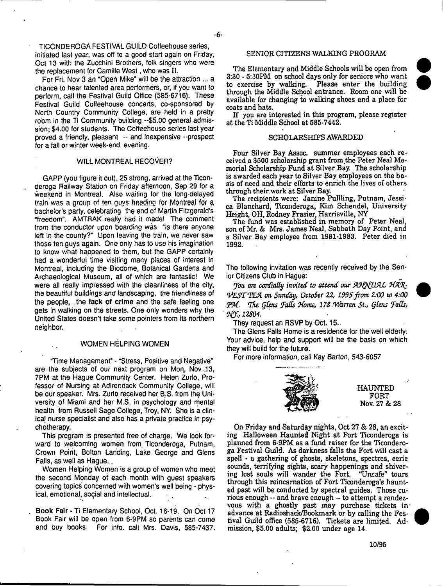TICONDEROGA FESTIVAL GUILD Coffeehouse series, initiated last year, was off to a good start again on Friday, Oct 13 with the Zucchini Brothers, folk singers who were the replacement for Camille West, who was ill.

For Fri. Nov 3 an "Open Mike" will be the attraction ... a chance to hear talented area performers, or, if you want to perform, call the Festival Guild Office (585-6716). These Festival Guild Coffeehouse concerts, co-sponsored by North Country Community College, are held in a pretty room in the Ti Community building --\$5.00 general admission; \$4.00 for students. The Coffeehouse series last year proved a friendly, pleasant -- and inexpensive --prospect for a fall or winter week-end evening.

## WILL MONTREAL RECOVER?

GAPP {you figure it out), 25 strong, arrived at the Ticonderoga Railway Station on Friday afternoon, Sep 29 for a weekend in Montreal. Also waiting for the long-delayed train was a group of ten guys heading for Montreal for a bachelor's party, celebrating the end of Martin Fitzgerald's "freedom". AMTRAK really had it made! The comment from the conductor upon boarding was "Is there anyone left in the county?" Upon leaving the train, we never saw those ten guys again. One only has to use his imagination to know what happened to them, but the GAPP certainly had a wonderful time visiting many places of interest in Montreal, including the Biodome, Botanical Gardens and Archaeological Museum, ail of which are fantastic! We were all really impressed with the cleanliness of the city, the beautiful buildings and landscaping, the friendliness of the people, .the lack of crime and the safe feeling one gets in walking on the streets. One only wonders why the United States doesn't take some pointers from its northern neighbor.

#### WOMEN HELPING WOMEN

"Time Management" - "Stress, Positive and Negative" are the subjects of our next program on Mon, Nov .33, 7PM at the Hague Community Center. Helen Zurlo. Professor of Nursing at Adirondack Community College, will be our speaker. Mrs. Zurlo received her B.S. from the University of Miami and her M.S. in psychology and mental health from Russell Sage College, Troy, NY. She is a clinical nurse specialist and also has a private practice in psychotherapy.

This program is presented free of charge. We look forward to welcoming women from Ticonderoga, Putnam, Crown Point, Bolton Landing, Lake George and Glens Falls, as well as Hague..

Women Helping Women is a group of women who meet the second Monday of each month with guest speakers covering topics concerned with women's well being - physical, emotional, social and intellectual.

Book Fair - Ti Elementary School, Oct. 16-19. On Oct 17 Book Fair will be open from 6-9PM so parents can come and buy books. For info, call Mrs. Davis, 585-7437.

### SENIOR CITIZENS WALKING PROGRAM

The Elementary and Middle Schools will be open from 3:30 - 5:30PM on school days only for seniors who want to exercise by walking. Please enter the building Please enter the building. through the Middle School entrance. Room one will be available for changing to walking shoes and a place for coats and hats.

If you are interested in this program, please register at the Ti Middle School at 585-7442.

## SCHOLARSHIPS AWARDED

Four Silver Bay Assoc, summer employees each received a \$500 scholarship grant from the Peter Neal Memorial Scholarship Fund at Silver Bay. The scholarship is awarded each year to Silver Bay employees on the basis of need and their efforts to enrich the lives of others through their .work at Silver Bay.

The recipients were: Janine Pullling, Putnam, Jessica Blanchard, Ticonderoga, Kim Schendel, University Height, OH, Rodney Frasier, Harrisville, NY

The fund was established in memory of Peter Neal, son of Mr, & Mrs. James Neal, Sabbath Day Point, and a Silver Bay employee from 1981-1983. Peter died in 1992.

The following invitation was recently received by the Senior Citizens Club in Hague:

*you* ore *cor&afly invited to attend our JdARz 'tfES'T iTLA on Sunday, OttoSer 22, 199S' from 2:00 to 4:00 The QCens fads Stome, 178 .Warren St., QCens 7ads, 12804.*

They request an RSVP by Oct. 15.

The Glens Falls Home is a residence for the well eldedy: Your advice, help and support will be the basis on which they will build for the future.

For more information, call Kay Barton, 543-6057



HAUNTED FORT Nov. 27 & 28

On Friday and Saturday nights, Oct 27 & 28, an exciting Halloween Haunted Night at Fort Ticonderoga is planned from 6-9PM as a fund raiser for the Ticonderoga Festival Guild. As darkness falls the Fort will cast a spell - a gathering of ghosts, skeletons, spectres, eerie sounds, terrifying sights, scary happenings and shivering lost souls will wander the Fort. 'Unsafe" tours through this reincarnation of Fort Ticonderoga's haunted past will be conducted by spectral guides. Those curious enough — and brave enough - to attempt a rendezvous with a ghostly past may purchase tickets inadvance at Radioshack/Bookmark or by calling the Festival Guild office (585-6716). Tickets are limited. Admission, \$5.00 adults; \$2,00 under age 14.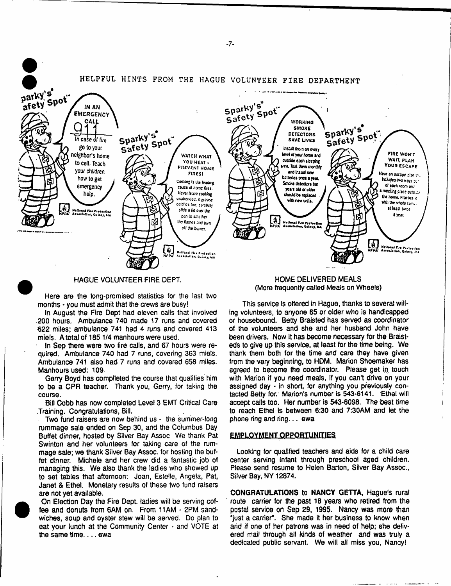

### HAGUE VOLUNTEER FIRE DEPT.

Here are the long-promised statistics for the last two months - you must admit that the crews are busy!

In August the Fire Dept had eleven calls that involved .200 hours. Ambulance 740 made 17 runs and covered 622 miles; ambulance 741 had 4 runs and covered 413 miels. A total of 185 1/4 manhours were used.

In Sep there were two fire calls, and 67 hours were required. Ambulance 740 had 7 runs, covering 363 miels. Ambulance 741 also had 7 runs and covered 658 miles. Manhours used; 109.

Gerry Boyd has complleted the course that qualifies him to be a CPR teacher. Thank you, Gerry, for taking the course.

Bill Cobb has now completed Level 3 EMT Critical Care Training. Congratulations, Bill.

Two fund raisers are now behind us - the summer-long rummage sale ended on Sep 30, and the Columbus Day Buffet dinner, hosted by Silver Bay Assoc We thank Pat Swinton and her volunteers for taking care of the rummage sate; we thank Silver Bay Assoc, for hosting the buffet dinner. Michele and her crew did a fantastic job of managing this. We also thank the ladies who showed up to set tables that afternoon; Joan, Estelle, Angela, Pat, Janet & Ethel. Monetary results of these two fund raisers are not yet available.

On Election Day the Fire Dept, ladies will be serving coffee and donuts from 6AM on. From 11AM - 2PM sandwiches, soup and oyster stew will be served. Do plan to eat your lunch at the Community Center - and VOTE at the same time.... ewa

HOME DELIVERED MEALS (More frequently called Meals on Wheels)

This service is offered in Hague, thanks to several willing volunteers, to anyone 65 or older who is handicapped or housebound. Betty Braisted has served as coordinator of the volunteers and she and her husband John have been drivers. Now it has become necessary for the Braisteds to give up this service, at least for the time being. We thank them both for the time and care they have given from the very beginning, to HDM. Marion Shoemaker has agreed to become the coordinator. Please get in touch with Marion if you need meals, If you can't drive on your assigned day - in short, for anything you previously contacted Betty for. Marion's number is 543-6141. Ethel will accept calls too. Her number is 543-6098. The best time to reach Ethel is between 6:30 and 7:30AM and let the phone ring and ring... ewa

#### **EMPLOYMENT QPPQBTUNfflES**

Looking for qualified teachers and aids for a child care center serving infant through preschool aged children. Please send resume to Helen Barton, Silver Bay Assoc., Silver Bay, NY 12874.

**CONGRATULATIONS** to **NANCY GETTA,** Hague's rural route carrier for the past 18 years who retired from the postal service on Sep 29, 1995. Nancy was more than "just a carrier\*. She made it her business to know when and if one of her patrons was in need of help; she delivered mail through ail kinds of weather and was truly a dedicated public servant. We will ail miss you, Nancy!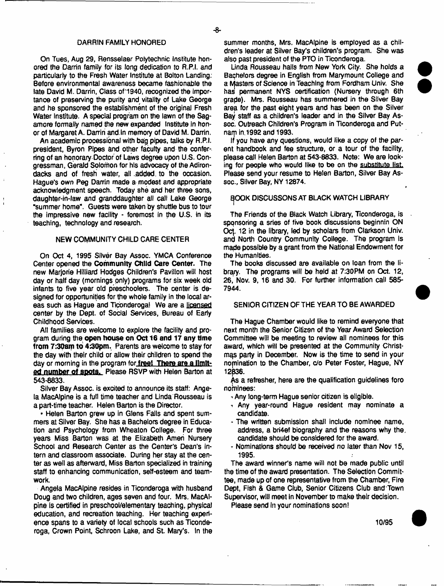#### DARRIN FAMILY HONORED

On Tues, Aug 29, Rensselaer Polytechnic Institute honored the Darrin family for its long dedication to R.P.I. and particularly to the Fresh Water Institute at Bolton Landing: Before environmental awareness became fashionable the late David M. Darrin, Class of'1940, recognized the importance of preserving the purity and vitality of Lake George and he sponsored the establishment of the original Fresh Water Institute. A special program on the lawn of the Sagamore formally named the new expanded Institute in honor of Margaret A. Darrin and. In memory of David M. Darrin.

An academic processional with bag pipes, talks by R.P.I. president, Byron Pipes and other faculty and the conferring of an honorary Doctor of Laws degree upon U.S. Congressman, Gerald Solomon for his advocacy of the Adirondacks and of fresh water, all .added, to the occasion. Hague's own Peg Darrin made a modest and appropriate acknowledgment speech. Today she and her three sons, daughter-in-law and granddaughter all call Lake George "summer home". Guests were taken by shuttle bus to tour the impressive new facility - foremost in the U.S. in its teaching, technology and research.

#### NEW COMMUNITY CHILD CARE CENTER

On Oct 4, 1995 Silver Bay Assoc. YMCA Conference Center opened the **Community Child Care Center.** The new Marjorie Hitllard Hodges Children's Pavilion will host day or half day (mornings only) programs for six week old infants to five year old preschoolers. The center is designed for opportunities for the whole family in the local areas such as Hague and Ticonderoga! We are a licensed center by the Dept, of Social Services, Bureau of Early Childhood Services.

All families are welcome to explore the facility and program during the **open house on Oct 16 and 17 any time from 7:30am to 430pm.** Parents are welcome to stay for the day with their child or allow their children to spend the day or morning in the program for **free! There are a limit**ed **number of spots.** Please RSVP with Helen Barton at 543-8833.

Silver Bay Assoc, is excited to announce its staff; Angela MacAlpine is a full time teacher and Linda Rousseau is a part-time teacher. Helen Barton is the Director.

• Helen Barton grew up in Glens Falls and spent summers at Silver Bay. She has a Bachelors degree in Education and Psychology from Wheaton College. For three years Miss Barton was at the Elizabeth Amen Nursery School and Research Center as the Center's Dean's intern and classroom associate. During her stay at the center as well as afterward, Miss Barton specialized in training staff to enhancing communication, self-esteem and teamwork.

Angela MacAlpine resides in Ticonderoga with husband Doug and two children, ages seven and four. Mrs. MacAlpine Is oertified in preschool/elementary teaching, physical education, and recreation teaching. Her teaching experience spans to a variety of local schools such as Ticonderoga, Crown Point, Schroon Lake, and St. Mary's. In the summer months, Mrs. MacAlpine is employed as a children's leader at Silver Bay's children's program. She was also past president of the PTO in Ticonderoga.

Linda Rousseau hails from New York City. She holds a Bachelors degree in English from Marymount College and a Masters of Science in Teaching from Fordham Univ. She has permanent NYS certification (Nursery through 6th grade). Mrs. Rousseau has summered in the Silver Bay area for the past eight years and has been on the Silver Bay staff as a children's leader and in the Silver Bay Assoc. Outreach Children's Program in Ticonderoga and Putnam in.1992 and 1993.

If you have any questions, would like a copy of the parent handbook and fee structure, or a tour of the facility, please call Helen Barton at 543-8833. Note: We are looking for people who would like to be on the substitute list. Please send your resume to Helen Barton, Silver Bay Assoc., Silver Bay, NY 12874.

### E^OOK DISCUSSONS AT BLACK WATCH LIBRARY

The Friends of the Black Watch Library, Ticonderoga, is sponsoring a sries of five book discussions beginnin ON Oct. 12 in the library, led by scholars from Clarkson Univ. and North Country Community College. The program Is made possible by a grant from the National Endowment for the Humanities.

The books discussed are available on loan from the library. The programs will be held at 7:30PM on Oct. 12, 26, Nov. 9, 16 and 30. For further information call 585- 7944.

#### SENIOR CITIZEN OF THE YEAR TO BE AWARDED

The Hague Chamber would like to remind everyone that next month the Senior Citizen of the Year Award Selection Committee will be meeting to review all nominees for this award, which wifi be presented at the Community Christmas party in December. Now is the time to send in your nomination to the Chamber, c/o Peter Foster, Hague, NY 12836.

As a refresher, here are the qualification guidelines foro nominees:

- Any long-term Hague senior citizen is eligible.
- -> Any year-round Hague resident may nominate a candidate.
- The written submission shall include nominee name, address, a bri4ef biography and the reasons why the, candidate should be considered for the award.
- Nominations should be received no later than Nov 15, 1995.

The award winner's name will not be made public until the time of the award presentation. The Selection Committee, made up of one representative from the Chamber, Fire Dept, Fish & Game Club, Senior Citizens Club and Town Supervisor, will meet in November to make their decision.

Please send in your nominations soon!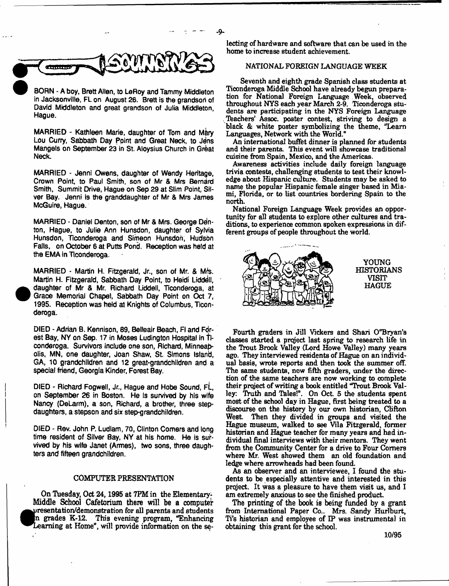

BORN - A boy, Brett Allen, to LeRoy and Tammy Middleton in Jacksonville, FL on August 26. Brett Is the grandson of David Middleton and great grandson of Julia Middleton, Hague.

MARRIED - Kathleen Marie, daughter of Tom and Mary Lou Curry, Sabbath Day Point and Great Neck, to Jens Mangels on September 23 in St. Aloysius Church in Great Neck.

MARRIED - Jenni Owens, daughter of Wendy Heritage, Crown Point, to Paul Smith, son of Mr & Mrs Bernard Smith, Summit Drive, Hague on Sep 29 at Slim Point, Silver Bay. Jenni Is the granddaughter of Mr & Mrs James McGuire, Hague.

MARRIED - Daniel Denton, son of Mr & Mrs. George Denton, Hague, to Julie Ann Hunsdon, daughter of Sylvia Hunsdon, Ticonderoga and Simeon Hunsdon, Hudson Falls, on October 6 at Putts Pond. Reception was held at the EMA in Ticonderoga.

MARRIED - Martin H. Fitzgerald, Jr., son of Mr. & Mrs. Martin H. Fitzgerald, Sabbath Day Point, to Heidi Liddell, daughter of Mr & Mr. Richard Liddell, Ticonderoga, at Grace Memorial Chapel, Sabbath Day Point on Oct 7, 1995. Reception was held at Knights of Columbus, Ticonderoga.

DIED - Adrian B, Kennison, 89, Belleair Beach, FI and Fdrest Bay, NY on Sep. 17 in Moses Ludington Hospital in Ticonderoga. Survivors include one son, Richard, Minneapolis, MN, one daughter, Joan Shaw, St. Simons Island, GA, 10 grandchildren and 12 great-grandchildren and a special friend, Georgia Kinder, Forest Bay.

DIED - Richard Fogwell, Jr., Hague and Hobe Sound, FL, on September 26 in Boston. He is survived by his wife Nancy (DeLarm), a son, Richard, a brother, three stepdaughters, a stepson and six step-grandchildren.

DIED - Rev. John P. Ludlam, 70, Clinton Comers and long time resident of Silver Bay, NY at his home. He is survived by his wife Janet (Armes), two sons, three daughters and fifteen grandchildren.

#### COMPUTER PRESENTATION

*MTi* resentation/demonstration for all parents and students Learning at Home", will provide information on the se-On Tuesday, Oct 24,1995 at 7PM in the Elementary-Middle School Cafetorium there will be a computer in grades K-12. This evening program, "Enhancing

lecting of hardware and software that can be used in the home to increase student achievement.

- 9-

## NATIONAL FOREIGN LANGUAGE WEEK

Seventh and eighth grade Spanish class students at Ticonderoga Middle School have already begun preparation for National Foreign Language Week, observed throughout NYS each year March 2-9. Ticonderoga students are participating in the NYS Foreign Language Teachers' Assoc, poster contest, striving to design a black & white poster symbolizing the theme, "Learn Languages, Network with the World."

An international buffet dinner is planned for students and their parents. This event will showcase traditional cuisine from Spain, Mexico, and the Americas.

Awareness activities include daily foreign language trivia contests, challenging students to test their knowledge about Hispanic culture. Students may be asked to name the popular Hispanic female singer based in Miami, Florida, or to list countries bordering Spain to the north.

National Foreign Language Week provides an opportunity for all students to explore other cultures and traditions, to experience common spoken expressions in different groups of people throughout the world.



Fourth graders in Jill Vickers and Shari 0"Bryan's classes started a prqject last spring to research life in the Trout Brook Valley (Lord Howe Valley) many years ago. They interviewed residents of Hague on an individual basis, wrote reports and then took the summer off. The same students, now fifth graders, under the direction of the same teachers are now working to complete their project of writing a book entitled "Trout Brook Valley: Truth and Tales!". On Oct. 5 the students spent most of the school day in Hague, first being treated to a discourse on the history by our own historian, Clifton West. Then they divided in groups and visited the Hague museum, walked to see Vila Fitzgerald, former historian and Hague teacher for many years and had individual final interviews with their mentors. They went from the Community Center for a drive to Four Comers where Mr. West showed them an old foundation and ledge where arrowheads had been found.

As an observer and an interviewee, I found the students to be especially attentive and interested in this project. It was a pleasure to have them visit us, and I am extremely anxious to see the finished product.

The printing of the book is being funded by a grant from International Paper Co.. Mrs. Sandy Hurlburt, Ti's historian and employee of IP was instrumental in obtaining this grant for the school.